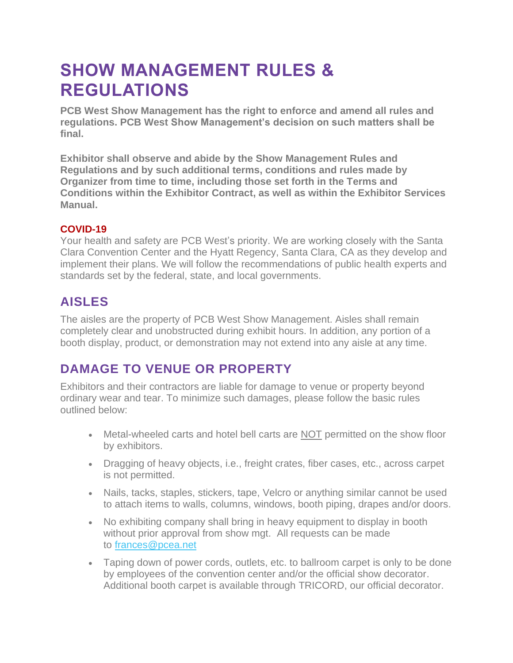# **SHOW MANAGEMENT RULES & REGULATIONS**

**PCB West Show Management has the right to enforce and amend all rules and regulations. PCB West Show Management's decision on such matters shall be final.**

**Exhibitor shall observe and abide by the Show Management Rules and Regulations and by such additional terms, conditions and rules made by Organizer from time to time, including those set forth in the Terms and Conditions within the Exhibitor Contract, as well as within the Exhibitor Services Manual.**

#### **COVID-19**

Your health and safety are PCB West's priority. We are working closely with the Santa Clara Convention Center and the Hyatt Regency, Santa Clara, CA as they develop and implement their plans. We will follow the recommendations of public health experts and standards set by the federal, state, and local governments.

### **AISLES**

The aisles are the property of PCB West Show Management. Aisles shall remain completely clear and unobstructed during exhibit hours. In addition, any portion of a booth display, product, or demonstration may not extend into any aisle at any time.

### **DAMAGE TO VENUE OR PROPERTY**

Exhibitors and their contractors are liable for damage to venue or property beyond ordinary wear and tear. To minimize such damages, please follow the basic rules outlined below:

- Metal-wheeled carts and hotel bell carts are NOT permitted on the show floor by exhibitors.
- Dragging of heavy objects, i.e., freight crates, fiber cases, etc., across carpet is not permitted.
- Nails, tacks, staples, stickers, tape, Velcro or anything similar cannot be used to attach items to walls, columns, windows, booth piping, drapes and/or doors.
- No exhibiting company shall bring in heavy equipment to display in booth without prior approval from show mgt. All requests can be made to [frances@pcea.net](mailto:frances@pcea.net)
- Taping down of power cords, outlets, etc. to ballroom carpet is only to be done by employees of the convention center and/or the official show decorator. Additional booth carpet is available through TRICORD, our official decorator.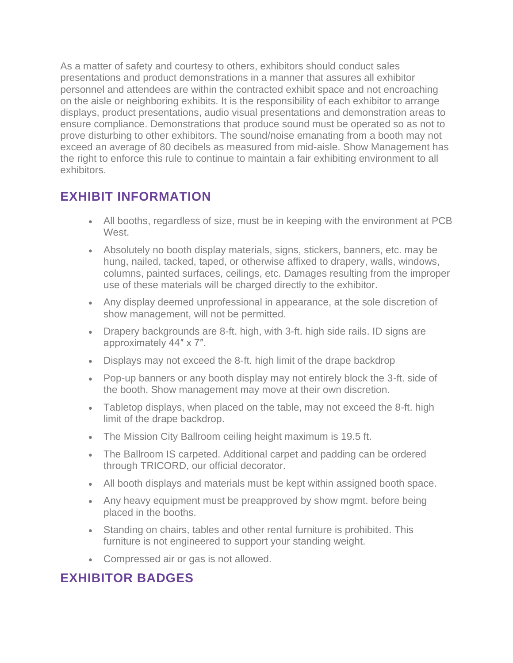As a matter of safety and courtesy to others, exhibitors should conduct sales presentations and product demonstrations in a manner that assures all exhibitor personnel and attendees are within the contracted exhibit space and not encroaching on the aisle or neighboring exhibits. It is the responsibility of each exhibitor to arrange displays, product presentations, audio visual presentations and demonstration areas to ensure compliance. Demonstrations that produce sound must be operated so as not to prove disturbing to other exhibitors. The sound/noise emanating from a booth may not exceed an average of 80 decibels as measured from mid-aisle. Show Management has the right to enforce this rule to continue to maintain a fair exhibiting environment to all exhibitors.

#### **EXHIBIT INFORMATION**

- All booths, regardless of size, must be in keeping with the environment at PCB **West**
- Absolutely no booth display materials, signs, stickers, banners, etc. may be hung, nailed, tacked, taped, or otherwise affixed to drapery, walls, windows, columns, painted surfaces, ceilings, etc. Damages resulting from the improper use of these materials will be charged directly to the exhibitor.
- Any display deemed unprofessional in appearance, at the sole discretion of show management, will not be permitted.
- Drapery backgrounds are 8-ft. high, with 3-ft. high side rails. ID signs are approximately 44″ x 7″.
- Displays may not exceed the 8-ft. high limit of the drape backdrop
- Pop-up banners or any booth display may not entirely block the 3-ft. side of the booth. Show management may move at their own discretion.
- Tabletop displays, when placed on the table, may not exceed the 8-ft. high limit of the drape backdrop.
- The Mission City Ballroom ceiling height maximum is 19.5 ft.
- The Ballroom IS carpeted. Additional carpet and padding can be ordered through TRICORD, our official decorator.
- All booth displays and materials must be kept within assigned booth space.
- Any heavy equipment must be preapproved by show mgmt. before being placed in the booths.
- Standing on chairs, tables and other rental furniture is prohibited. This furniture is not engineered to support your standing weight.
- Compressed air or gas is not allowed.

#### **EXHIBITOR BADGES**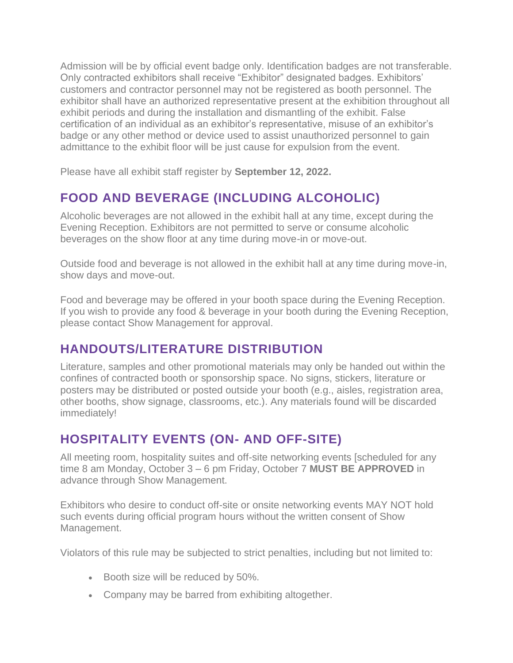Admission will be by official event badge only. Identification badges are not transferable. Only contracted exhibitors shall receive "Exhibitor" designated badges. Exhibitors' customers and contractor personnel may not be registered as booth personnel. The exhibitor shall have an authorized representative present at the exhibition throughout all exhibit periods and during the installation and dismantling of the exhibit. False certification of an individual as an exhibitor's representative, misuse of an exhibitor's badge or any other method or device used to assist unauthorized personnel to gain admittance to the exhibit floor will be just cause for expulsion from the event.

Please have all exhibit staff register by **September 12, 2022.**

## **FOOD AND BEVERAGE (INCLUDING ALCOHOLIC)**

Alcoholic beverages are not allowed in the exhibit hall at any time, except during the Evening Reception. Exhibitors are not permitted to serve or consume alcoholic beverages on the show floor at any time during move-in or move-out.

Outside food and beverage is not allowed in the exhibit hall at any time during move-in, show days and move-out.

Food and beverage may be offered in your booth space during the Evening Reception. If you wish to provide any food & beverage in your booth during the Evening Reception. please contact Show Management for approval.

## **HANDOUTS/LITERATURE DISTRIBUTION**

Literature, samples and other promotional materials may only be handed out within the confines of contracted booth or sponsorship space. No signs, stickers, literature or posters may be distributed or posted outside your booth (e.g., aisles, registration area, other booths, show signage, classrooms, etc.). Any materials found will be discarded immediately!

## **HOSPITALITY EVENTS (ON- AND OFF-SITE)**

All meeting room, hospitality suites and off-site networking events [scheduled for any time 8 am Monday, October 3 – 6 pm Friday, October 7 **MUST BE APPROVED** in advance through Show Management.

Exhibitors who desire to conduct off-site or onsite networking events MAY NOT hold such events during official program hours without the written consent of Show Management.

Violators of this rule may be subjected to strict penalties, including but not limited to:

- Booth size will be reduced by 50%.
- Company may be barred from exhibiting altogether.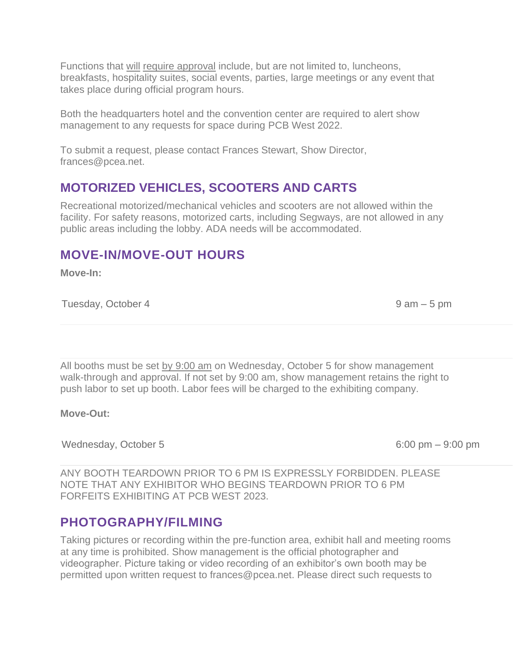Functions that will require approval include, but are not limited to, luncheons, breakfasts, hospitality suites, social events, parties, large meetings or any event that takes place during official program hours.

Both the headquarters hotel and the convention center are required to alert show management to any requests for space during PCB West 2022.

To submit a request, please contact Frances Stewart, Show Director, frances@pcea.net.

#### **MOTORIZED VEHICLES, SCOOTERS AND CARTS**

Recreational motorized/mechanical vehicles and scooters are not allowed within the facility. For safety reasons, motorized carts, including Segways, are not allowed in any public areas including the lobby. ADA needs will be accommodated.

#### **MOVE-IN/MOVE-OUT HOURS**

**Move-In:**

Tuesday, October 4 and 19 am – 5 pm

All booths must be set by 9:00 am on Wednesday, October 5 for show management walk-through and approval. If not set by 9:00 am, show management retains the right to push labor to set up booth. Labor fees will be charged to the exhibiting company.

#### **Move-Out:**

Wednesday, October 5 6:00 pm – 9:00 pm

ANY BOOTH TEARDOWN PRIOR TO 6 PM IS EXPRESSLY FORBIDDEN. PLEASE NOTE THAT ANY EXHIBITOR WHO BEGINS TEARDOWN PRIOR TO 6 PM FORFEITS EXHIBITING AT PCB WEST 2023.

#### **PHOTOGRAPHY/FILMING**

Taking pictures or recording within the pre-function area, exhibit hall and meeting rooms at any time is prohibited. Show management is the official photographer and videographer. Picture taking or video recording of an exhibitor's own booth may be permitted upon written request to frances@pcea.net. Please direct such requests to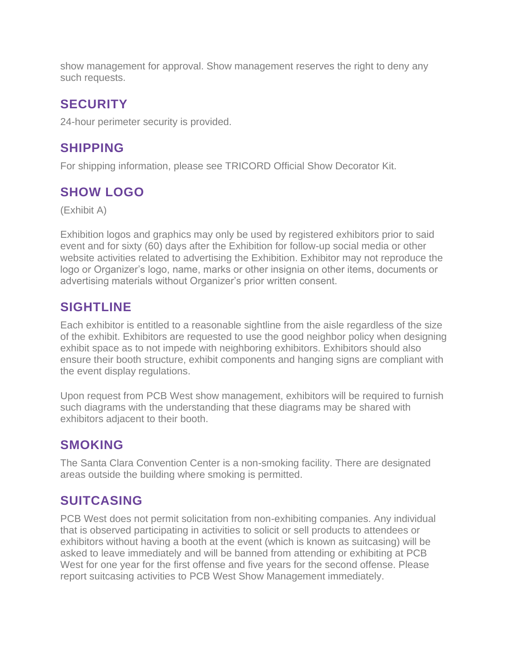show management for approval. Show management reserves the right to deny any such requests.

### **SECURITY**

24-hour perimeter security is provided.

## **SHIPPING**

For shipping information, please see TRICORD Official Show Decorator Kit.

## **SHOW LOGO**

(Exhibit A)

Exhibition logos and graphics may only be used by registered exhibitors prior to said event and for sixty (60) days after the Exhibition for follow-up social media or other website activities related to advertising the Exhibition. Exhibitor may not reproduce the logo or Organizer's logo, name, marks or other insignia on other items, documents or advertising materials without Organizer's prior written consent.

### **SIGHTLINE**

Each exhibitor is entitled to a reasonable sightline from the aisle regardless of the size of the exhibit. Exhibitors are requested to use the good neighbor policy when designing exhibit space as to not impede with neighboring exhibitors. Exhibitors should also ensure their booth structure, exhibit components and hanging signs are compliant with the event display regulations.

Upon request from PCB West show management, exhibitors will be required to furnish such diagrams with the understanding that these diagrams may be shared with exhibitors adjacent to their booth.

### **SMOKING**

The Santa Clara Convention Center is a non-smoking facility. There are designated areas outside the building where smoking is permitted.

## **SUITCASING**

PCB West does not permit solicitation from non-exhibiting companies. Any individual that is observed participating in activities to solicit or sell products to attendees or exhibitors without having a booth at the event (which is known as suitcasing) will be asked to leave immediately and will be banned from attending or exhibiting at PCB West for one year for the first offense and five years for the second offense. Please report suitcasing activities to PCB West Show Management immediately.